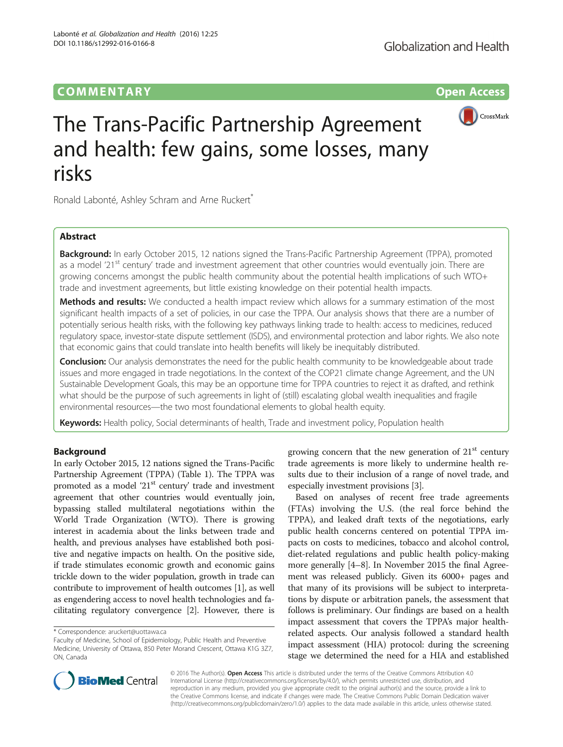

# The Trans-Pacific Partnership Agreement and health: few gains, some losses, many risks

Ronald Labonté, Ashley Schram and Arne Ruckert\*

# Abstract

Background: In early October 2015, 12 nations signed the Trans-Pacific Partnership Agreement (TPPA), promoted as a model '21<sup>st</sup> century' trade and investment agreement that other countries would eventually join. There are growing concerns amongst the public health community about the potential health implications of such WTO+ trade and investment agreements, but little existing knowledge on their potential health impacts.

Methods and results: We conducted a health impact review which allows for a summary estimation of the most significant health impacts of a set of policies, in our case the TPPA. Our analysis shows that there are a number of potentially serious health risks, with the following key pathways linking trade to health: access to medicines, reduced regulatory space, investor-state dispute settlement (ISDS), and environmental protection and labor rights. We also note that economic gains that could translate into health benefits will likely be inequitably distributed.

Conclusion: Our analysis demonstrates the need for the public health community to be knowledgeable about trade issues and more engaged in trade negotiations. In the context of the COP21 climate change Agreement, and the UN Sustainable Development Goals, this may be an opportune time for TPPA countries to reject it as drafted, and rethink what should be the purpose of such agreements in light of (still) escalating global wealth inequalities and fragile environmental resources—the two most foundational elements to global health equity.

Keywords: Health policy, Social determinants of health, Trade and investment policy, Population health

# Background

In early October 2015, 12 nations signed the Trans-Pacific Partnership Agreement (TPPA) (Table [1](#page-1-0)). The TPPA was promoted as a model '21<sup>st</sup> century' trade and investment agreement that other countries would eventually join, bypassing stalled multilateral negotiations within the World Trade Organization (WTO). There is growing interest in academia about the links between trade and health, and previous analyses have established both positive and negative impacts on health. On the positive side, if trade stimulates economic growth and economic gains trickle down to the wider population, growth in trade can contribute to improvement of health outcomes [\[1\]](#page-5-0), as well as engendering access to novel health technologies and facilitating regulatory convergence [[2](#page-5-0)]. However, there is

growing concern that the new generation of  $21<sup>st</sup>$  century trade agreements is more likely to undermine health results due to their inclusion of a range of novel trade, and especially investment provisions [[3](#page-5-0)].

Based on analyses of recent free trade agreements (FTAs) involving the U.S. (the real force behind the TPPA), and leaked draft texts of the negotiations, early public health concerns centered on potential TPPA impacts on costs to medicines, tobacco and alcohol control, diet-related regulations and public health policy-making more generally [\[4](#page-5-0)–[8\]](#page-5-0). In November 2015 the final Agreement was released publicly. Given its 6000+ pages and that many of its provisions will be subject to interpretations by dispute or arbitration panels, the assessment that follows is preliminary. Our findings are based on a health impact assessment that covers the TPPA's major healthrelated aspects. Our analysis followed a standard health impact assessment (HIA) protocol: during the screening stage we determined the need for a HIA and established



© 2016 The Author(s). Open Access This article is distributed under the terms of the Creative Commons Attribution 4.0 International License [\(http://creativecommons.org/licenses/by/4.0/](http://creativecommons.org/licenses/by/4.0/)), which permits unrestricted use, distribution, and reproduction in any medium, provided you give appropriate credit to the original author(s) and the source, provide a link to the Creative Commons license, and indicate if changes were made. The Creative Commons Public Domain Dedication waiver [\(http://creativecommons.org/publicdomain/zero/1.0/](http://creativecommons.org/publicdomain/zero/1.0/)) applies to the data made available in this article, unless otherwise stated.

<sup>\*</sup> Correspondence: [aruckert@uottawa.ca](mailto:aruckert@uottawa.ca)

Faculty of Medicine, School of Epidemiology, Public Health and Preventive Medicine, University of Ottawa, 850 Peter Morand Crescent, Ottawa K1G 3Z7, ON, Canada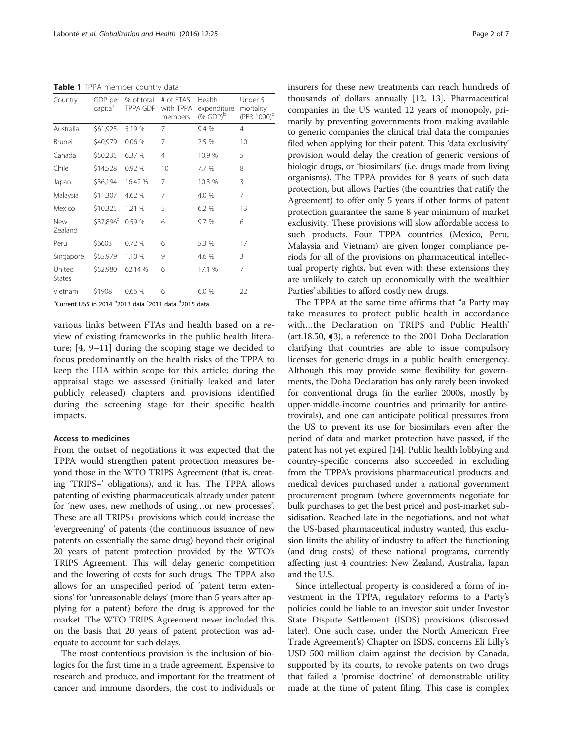<span id="page-1-0"></span>Table 1 TPPA member country data

| GDP per             |                        |                                   |                                     |                                                                                                        |
|---------------------|------------------------|-----------------------------------|-------------------------------------|--------------------------------------------------------------------------------------------------------|
| capita <sup>a</sup> | % of total<br>TPPA GDP | # of FTAS<br>with TPPA<br>members | Health<br>expenditure<br>$(%GDP)^b$ | Under 5<br>mortality<br>(PER 1000) <sup>d</sup>                                                        |
| \$61,925            | 5.19 %                 | 7                                 | 9.4 %                               | $\overline{4}$                                                                                         |
| \$40,979            | 0.06 %                 | 7                                 | 2.5 %                               | 10                                                                                                     |
| \$50,235            | 6.37 %                 | 4                                 | 10.9%                               | 5                                                                                                      |
| \$14,528            | 0.92%                  | 10                                | 7.7 %                               | 8                                                                                                      |
| \$36,194            | 16.42 %                | 7                                 | 10.3 %                              | 3                                                                                                      |
| \$11,307            | 4.62 %                 | 7                                 | 4.0 %                               | 7                                                                                                      |
| \$10,325            | 1.21 %                 | 5                                 | 6.2 %                               | 13                                                                                                     |
| $$37,896^{\circ}$   | 0.59 %                 | 6                                 | 9.7 %                               | 6                                                                                                      |
| \$6603              | 0.72%                  | 6                                 | 5.3 %                               | 17                                                                                                     |
| \$55,979            | 1.10 %                 | 9                                 | 4.6 %                               | 3                                                                                                      |
| \$52,980            | 62.14 %                | 6                                 | 17.1 %                              | 7                                                                                                      |
| \$1908              | 0.66 %                 | 6                                 | 6.0%                                | 22                                                                                                     |
|                     |                        |                                   |                                     | $\frac{3}{2}$ Current LICC in 2014 $\frac{52012}{2}$ data $\frac{52011}{2}$ data $\frac{4}{2015}$ data |

<sup>a</sup>Current US\$ in 2014 <sup>b</sup>2013 data <sup>c</sup>2011 data <sup>d</sup>2015 data

various links between FTAs and health based on a review of existing frameworks in the public health literature; [[4, 9](#page-5-0)–[11](#page-5-0)] during the scoping stage we decided to focus predominantly on the health risks of the TPPA to keep the HIA within scope for this article; during the appraisal stage we assessed (initially leaked and later publicly released) chapters and provisions identified during the screening stage for their specific health impacts.

## Access to medicines

From the outset of negotiations it was expected that the TPPA would strengthen patent protection measures beyond those in the WTO TRIPS Agreement (that is, creating 'TRIPS+' obligations), and it has. The TPPA allows patenting of existing pharmaceuticals already under patent for 'new uses, new methods of using…or new processes'. These are all TRIPS+ provisions which could increase the 'evergreening' of patents (the continuous issuance of new patents on essentially the same drug) beyond their original 20 years of patent protection provided by the WTO's TRIPS Agreement. This will delay generic competition and the lowering of costs for such drugs. The TPPA also allows for an unspecified period of 'patent term extensions' for 'unreasonable delays' (more than 5 years after applying for a patent) before the drug is approved for the market. The WTO TRIPS Agreement never included this on the basis that 20 years of patent protection was adequate to account for such delays.

The most contentious provision is the inclusion of biologics for the first time in a trade agreement. Expensive to research and produce, and important for the treatment of cancer and immune disorders, the cost to individuals or insurers for these new treatments can reach hundreds of thousands of dollars annually [\[12, 13](#page-5-0)]. Pharmaceutical companies in the US wanted 12 years of monopoly, primarily by preventing governments from making available to generic companies the clinical trial data the companies filed when applying for their patent. This 'data exclusivity' provision would delay the creation of generic versions of biologic drugs, or 'biosimilars' (i.e. drugs made from living organisms). The TPPA provides for 8 years of such data protection, but allows Parties (the countries that ratify the Agreement) to offer only 5 years if other forms of patent protection guarantee the same 8 year minimum of market exclusivity. These provisions will slow affordable access to such products. Four TPPA countries (Mexico, Peru, Malaysia and Vietnam) are given longer compliance periods for all of the provisions on pharmaceutical intellectual property rights, but even with these extensions they are unlikely to catch up economically with the wealthier Parties' abilities to afford costly new drugs.

The TPPA at the same time affirms that "a Party may take measures to protect public health in accordance with…the Declaration on TRIPS and Public Health' (art.18.50,  $(3)$ , a reference to the 2001 Doha Declaration clarifying that countries are able to issue compulsory licenses for generic drugs in a public health emergency. Although this may provide some flexibility for governments, the Doha Declaration has only rarely been invoked for conventional drugs (in the earlier 2000s, mostly by upper-middle-income countries and primarily for antiretrovirals), and one can anticipate political pressures from the US to prevent its use for biosimilars even after the period of data and market protection have passed, if the patent has not yet expired [\[14](#page-5-0)]. Public health lobbying and country-specific concerns also succeeded in excluding from the TPPA's provisions pharmaceutical products and medical devices purchased under a national government procurement program (where governments negotiate for bulk purchases to get the best price) and post-market subsidisation. Reached late in the negotiations, and not what the US-based pharmaceutical industry wanted, this exclusion limits the ability of industry to affect the functioning (and drug costs) of these national programs, currently affecting just 4 countries: New Zealand, Australia, Japan and the U.S.

Since intellectual property is considered a form of investment in the TPPA, regulatory reforms to a Party's policies could be liable to an investor suit under Investor State Dispute Settlement (ISDS) provisions (discussed later). One such case, under the North American Free Trade Agreement's) Chapter on ISDS, concerns Eli Lilly's USD 500 million claim against the decision by Canada, supported by its courts, to revoke patents on two drugs that failed a 'promise doctrine' of demonstrable utility made at the time of patent filing. This case is complex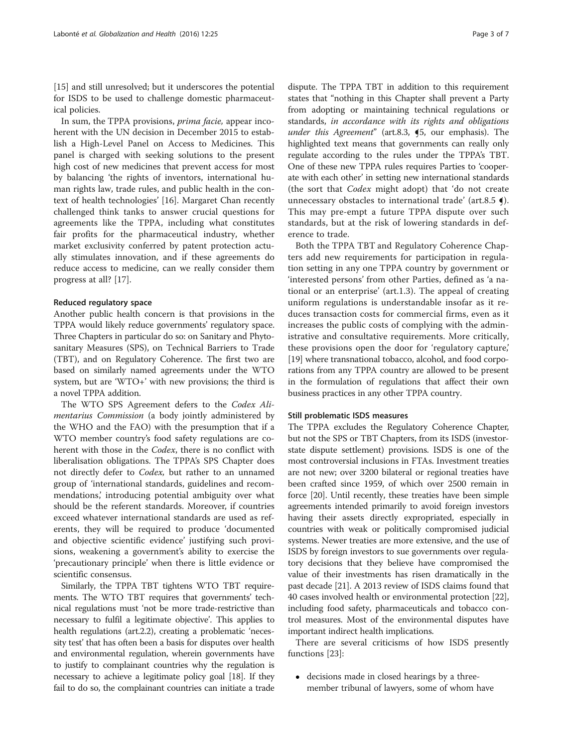[[15\]](#page-5-0) and still unresolved; but it underscores the potential for ISDS to be used to challenge domestic pharmaceutical policies.

In sum, the TPPA provisions, *prima facie*, appear incoherent with the UN decision in December 2015 to establish a High-Level Panel on Access to Medicines. This panel is charged with seeking solutions to the present high cost of new medicines that prevent access for most by balancing 'the rights of inventors, international human rights law, trade rules, and public health in the context of health technologies' [\[16](#page-5-0)]. Margaret Chan recently challenged think tanks to answer crucial questions for agreements like the TPPA, including what constitutes fair profits for the pharmaceutical industry, whether market exclusivity conferred by patent protection actually stimulates innovation, and if these agreements do reduce access to medicine, can we really consider them progress at all? [[17\]](#page-5-0).

## Reduced regulatory space

Another public health concern is that provisions in the TPPA would likely reduce governments' regulatory space. Three Chapters in particular do so: on Sanitary and Phytosanitary Measures (SPS), on Technical Barriers to Trade (TBT), and on Regulatory Coherence. The first two are based on similarly named agreements under the WTO system, but are 'WTO+' with new provisions; the third is a novel TPPA addition.

The WTO SPS Agreement defers to the Codex Alimentarius Commission (a body jointly administered by the WHO and the FAO) with the presumption that if a WTO member country's food safety regulations are coherent with those in the *Codex*, there is no conflict with liberalisation obligations. The TPPA's SPS Chapter does not directly defer to Codex, but rather to an unnamed group of 'international standards, guidelines and recommendations,' introducing potential ambiguity over what should be the referent standards. Moreover, if countries exceed whatever international standards are used as referents, they will be required to produce 'documented and objective scientific evidence' justifying such provisions, weakening a government's ability to exercise the 'precautionary principle' when there is little evidence or scientific consensus.

Similarly, the TPPA TBT tightens WTO TBT requirements. The WTO TBT requires that governments' technical regulations must 'not be more trade-restrictive than necessary to fulfil a legitimate objective'. This applies to health regulations (art.2.2), creating a problematic 'necessity test' that has often been a basis for disputes over health and environmental regulation, wherein governments have to justify to complainant countries why the regulation is necessary to achieve a legitimate policy goal [\[18\]](#page-5-0). If they fail to do so, the complainant countries can initiate a trade dispute. The TPPA TBT in addition to this requirement states that "nothing in this Chapter shall prevent a Party from adopting or maintaining technical regulations or standards, in accordance with its rights and obligations under this Agreement" (art.8.3,  $\blacklozenge$ 5, our emphasis). The highlighted text means that governments can really only regulate according to the rules under the TPPA's TBT. One of these new TPPA rules requires Parties to 'cooperate with each other' in setting new international standards (the sort that Codex might adopt) that 'do not create unnecessary obstacles to international trade' (art.8.5 ¶). This may pre-empt a future TPPA dispute over such standards, but at the risk of lowering standards in deference to trade.

Both the TPPA TBT and Regulatory Coherence Chapters add new requirements for participation in regulation setting in any one TPPA country by government or 'interested persons' from other Parties, defined as 'a national or an enterprise' (art.1.3). The appeal of creating uniform regulations is understandable insofar as it reduces transaction costs for commercial firms, even as it increases the public costs of complying with the administrative and consultative requirements. More critically, these provisions open the door for 'regulatory capture,' [[19](#page-5-0)] where transnational tobacco, alcohol, and food corporations from any TPPA country are allowed to be present in the formulation of regulations that affect their own business practices in any other TPPA country.

#### Still problematic ISDS measures

The TPPA excludes the Regulatory Coherence Chapter, but not the SPS or TBT Chapters, from its ISDS (investorstate dispute settlement) provisions. ISDS is one of the most controversial inclusions in FTAs. Investment treaties are not new; over 3200 bilateral or regional treaties have been crafted since 1959, of which over 2500 remain in force [\[20](#page-5-0)]. Until recently, these treaties have been simple agreements intended primarily to avoid foreign investors having their assets directly expropriated, especially in countries with weak or politically compromised judicial systems. Newer treaties are more extensive, and the use of ISDS by foreign investors to sue governments over regulatory decisions that they believe have compromised the value of their investments has risen dramatically in the past decade [\[21\]](#page-5-0). A 2013 review of ISDS claims found that 40 cases involved health or environmental protection [[22](#page-5-0)], including food safety, pharmaceuticals and tobacco control measures. Most of the environmental disputes have important indirect health implications.

There are several criticisms of how ISDS presently functions [[23\]](#page-5-0):

• decisions made in closed hearings by a threemember tribunal of lawyers, some of whom have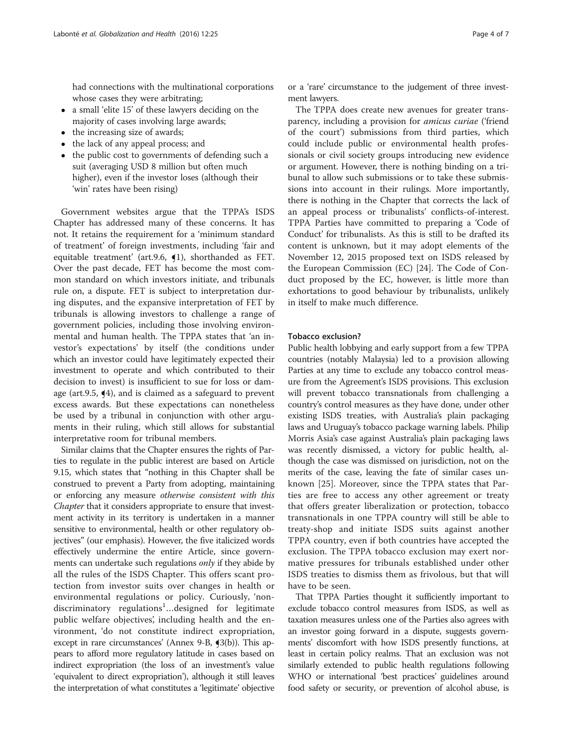had connections with the multinational corporations whose cases they were arbitrating;

- a small 'elite 15' of these lawyers deciding on the majority of cases involving large awards;
- the increasing size of awards;
- the lack of any appeal process; and
- the public cost to governments of defending such a suit (averaging USD 8 million but often much higher), even if the investor loses (although their 'win' rates have been rising)

Government websites argue that the TPPA's ISDS Chapter has addressed many of these concerns. It has not. It retains the requirement for a 'minimum standard of treatment' of foreign investments, including 'fair and equitable treatment' (art.9.6, 1), shorthanded as FET. Over the past decade, FET has become the most common standard on which investors initiate, and tribunals rule on, a dispute. FET is subject to interpretation during disputes, and the expansive interpretation of FET by tribunals is allowing investors to challenge a range of government policies, including those involving environmental and human health. The TPPA states that 'an investor's expectations' by itself (the conditions under which an investor could have legitimately expected their investment to operate and which contributed to their decision to invest) is insufficient to sue for loss or damage (art. 9.5,  $(4)$ ), and is claimed as a safeguard to prevent excess awards. But these expectations can nonetheless be used by a tribunal in conjunction with other arguments in their ruling, which still allows for substantial interpretative room for tribunal members.

Similar claims that the Chapter ensures the rights of Parties to regulate in the public interest are based on Article 9.15, which states that "nothing in this Chapter shall be construed to prevent a Party from adopting, maintaining or enforcing any measure otherwise consistent with this Chapter that it considers appropriate to ensure that investment activity in its territory is undertaken in a manner sensitive to environmental, health or other regulatory objectives" (our emphasis). However, the five italicized words effectively undermine the entire Article, since governments can undertake such regulations only if they abide by all the rules of the ISDS Chapter. This offers scant protection from investor suits over changes in health or environmental regulations or policy. Curiously, 'nondiscriminatory regulations<sup>1</sup>...designed for legitimate public welfare objectives', including health and the environment, 'do not constitute indirect expropriation, except in rare circumstances' (Annex 9-B,  $(3(b))$ ). This appears to afford more regulatory latitude in cases based on indirect expropriation (the loss of an investment's value 'equivalent to direct expropriation'), although it still leaves the interpretation of what constitutes a 'legitimate' objective or a 'rare' circumstance to the judgement of three investment lawyers.

The TPPA does create new avenues for greater transparency, including a provision for amicus curiae ('friend of the court') submissions from third parties, which could include public or environmental health professionals or civil society groups introducing new evidence or argument. However, there is nothing binding on a tribunal to allow such submissions or to take these submissions into account in their rulings. More importantly, there is nothing in the Chapter that corrects the lack of an appeal process or tribunalists' conflicts-of-interest. TPPA Parties have committed to preparing a 'Code of Conduct' for tribunalists. As this is still to be drafted its content is unknown, but it may adopt elements of the November 12, 2015 proposed text on ISDS released by the European Commission (EC) [[24](#page-5-0)]. The Code of Conduct proposed by the EC, however, is little more than exhortations to good behaviour by tribunalists, unlikely in itself to make much difference.

## Tobacco exclusion?

Public health lobbying and early support from a few TPPA countries (notably Malaysia) led to a provision allowing Parties at any time to exclude any tobacco control measure from the Agreement's ISDS provisions. This exclusion will prevent tobacco transnationals from challenging a country's control measures as they have done, under other existing ISDS treaties, with Australia's plain packaging laws and Uruguay's tobacco package warning labels. Philip Morris Asia's case against Australia's plain packaging laws was recently dismissed, a victory for public health, although the case was dismissed on jurisdiction, not on the merits of the case, leaving the fate of similar cases unknown [[25\]](#page-5-0). Moreover, since the TPPA states that Parties are free to access any other agreement or treaty that offers greater liberalization or protection, tobacco transnationals in one TPPA country will still be able to treaty-shop and initiate ISDS suits against another TPPA country, even if both countries have accepted the exclusion. The TPPA tobacco exclusion may exert normative pressures for tribunals established under other ISDS treaties to dismiss them as frivolous, but that will have to be seen.

That TPPA Parties thought it sufficiently important to exclude tobacco control measures from ISDS, as well as taxation measures unless one of the Parties also agrees with an investor going forward in a dispute, suggests governments' discomfort with how ISDS presently functions, at least in certain policy realms. That an exclusion was not similarly extended to public health regulations following WHO or international 'best practices' guidelines around food safety or security, or prevention of alcohol abuse, is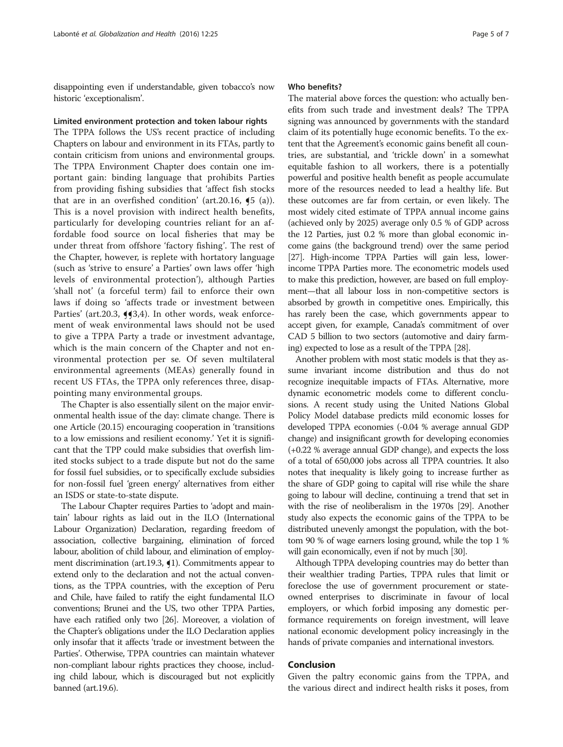disappointing even if understandable, given tobacco's now historic 'exceptionalism'.

## Limited environment protection and token labour rights

The TPPA follows the US's recent practice of including Chapters on labour and environment in its FTAs, partly to contain criticism from unions and environmental groups. The TPPA Environment Chapter does contain one important gain: binding language that prohibits Parties from providing fishing subsidies that 'affect fish stocks that are in an overfished condition' (art. 20.16,  $(5 \text{ (a)}).$ This is a novel provision with indirect health benefits, particularly for developing countries reliant for an affordable food source on local fisheries that may be under threat from offshore 'factory fishing'. The rest of the Chapter, however, is replete with hortatory language (such as 'strive to ensure' a Parties' own laws offer 'high levels of environmental protection'), although Parties 'shall not' (a forceful term) fail to enforce their own laws if doing so 'affects trade or investment between Parties' (art.20.3,  $\check{q}$ 3,4). In other words, weak enforcement of weak environmental laws should not be used to give a TPPA Party a trade or investment advantage, which is the main concern of the Chapter and not environmental protection per se. Of seven multilateral environmental agreements (MEAs) generally found in recent US FTAs, the TPPA only references three, disappointing many environmental groups.

The Chapter is also essentially silent on the major environmental health issue of the day: climate change. There is one Article (20.15) encouraging cooperation in 'transitions to a low emissions and resilient economy.' Yet it is significant that the TPP could make subsidies that overfish limited stocks subject to a trade dispute but not do the same for fossil fuel subsidies, or to specifically exclude subsidies for non-fossil fuel 'green energy' alternatives from either an ISDS or state-to-state dispute.

The Labour Chapter requires Parties to 'adopt and maintain' labour rights as laid out in the ILO (International Labour Organization) Declaration, regarding freedom of association, collective bargaining, elimination of forced labour, abolition of child labour, and elimination of employment discrimination (art.19.3,  $\langle 1 \rangle$ ). Commitments appear to extend only to the declaration and not the actual conventions, as the TPPA countries, with the exception of Peru and Chile, have failed to ratify the eight fundamental ILO conventions; Brunei and the US, two other TPPA Parties, have each ratified only two [\[26\]](#page-5-0). Moreover, a violation of the Chapter's obligations under the ILO Declaration applies only insofar that it affects 'trade or investment between the Parties'. Otherwise, TPPA countries can maintain whatever non-compliant labour rights practices they choose, including child labour, which is discouraged but not explicitly banned (art.19.6).

## Who benefits?

The material above forces the question: who actually benefits from such trade and investment deals? The TPPA signing was announced by governments with the standard claim of its potentially huge economic benefits. To the extent that the Agreement's economic gains benefit all countries, are substantial, and 'trickle down' in a somewhat equitable fashion to all workers, there is a potentially powerful and positive health benefit as people accumulate more of the resources needed to lead a healthy life. But these outcomes are far from certain, or even likely. The most widely cited estimate of TPPA annual income gains (achieved only by 2025) average only 0.5 % of GDP across the 12 Parties, just 0.2 % more than global economic income gains (the background trend) over the same period [[27](#page-5-0)]. High-income TPPA Parties will gain less, lowerincome TPPA Parties more. The econometric models used to make this prediction, however, are based on full employment—that all labour loss in non-competitive sectors is absorbed by growth in competitive ones. Empirically, this has rarely been the case, which governments appear to accept given, for example, Canada's commitment of over CAD 5 billion to two sectors (automotive and dairy farming) expected to lose as a result of the TPPA [\[28\]](#page-6-0).

Another problem with most static models is that they assume invariant income distribution and thus do not recognize inequitable impacts of FTAs. Alternative, more dynamic econometric models come to different conclusions. A recent study using the United Nations Global Policy Model database predicts mild economic losses for developed TPPA economies (-0.04 % average annual GDP change) and insignificant growth for developing economies (+0.22 % average annual GDP change), and expects the loss of a total of 650,000 jobs across all TPPA countries. It also notes that inequality is likely going to increase further as the share of GDP going to capital will rise while the share going to labour will decline, continuing a trend that set in with the rise of neoliberalism in the 1970s [\[29](#page-6-0)]. Another study also expects the economic gains of the TPPA to be distributed unevenly amongst the population, with the bottom 90 % of wage earners losing ground, while the top 1 % will gain economically, even if not by much [\[30](#page-6-0)].

Although TPPA developing countries may do better than their wealthier trading Parties, TPPA rules that limit or foreclose the use of government procurement or stateowned enterprises to discriminate in favour of local employers, or which forbid imposing any domestic performance requirements on foreign investment, will leave national economic development policy increasingly in the hands of private companies and international investors.

## Conclusion

Given the paltry economic gains from the TPPA, and the various direct and indirect health risks it poses, from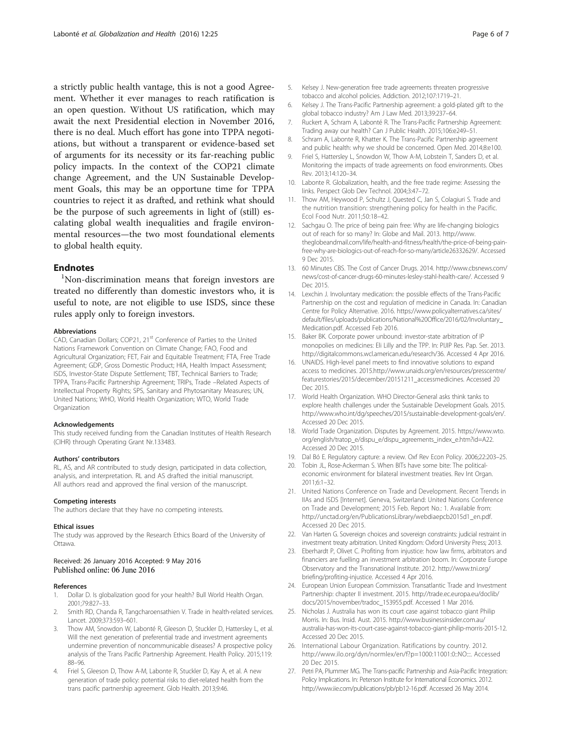<span id="page-5-0"></span>a strictly public health vantage, this is not a good Agreement. Whether it ever manages to reach ratification is an open question. Without US ratification, which may await the next Presidential election in November 2016, there is no deal. Much effort has gone into TPPA negotiations, but without a transparent or evidence-based set of arguments for its necessity or its far-reaching public policy impacts. In the context of the COP21 climate change Agreement, and the UN Sustainable Development Goals, this may be an opportune time for TPPA countries to reject it as drafted, and rethink what should be the purpose of such agreements in light of (still) escalating global wealth inequalities and fragile environmental resources—the two most foundational elements to global health equity.

## **Endnotes**

<sup>1</sup>Non-discrimination means that foreign investors are treated no differently than domestic investors who, it is useful to note, are not eligible to use ISDS, since these rules apply only to foreign investors.

#### Abbreviations

CAD, Canadian Dollars; COP21, 21<sup>st</sup> Conference of Parties to the United Nations Framework Convention on Climate Change; FAO, Food and Agricultural Organization; FET, Fair and Equitable Treatment; FTA, Free Trade Agreement; GDP, Gross Domestic Product; HIA, Health Impact Assessment; ISDS, Investor-State Dispute Settlement; TBT, Technical Barriers to Trade; TPPA, Trans-Pacific Partnership Agreement; TRIPs, Trade –Related Aspects of Intellectual Property Rights; SPS, Sanitary and Phytosanitary Measures; UN, United Nations; WHO, World Health Organization; WTO, World Trade Organization

#### Acknowledgements

This study received funding from the Canadian Institutes of Health Research (CIHR) through Operating Grant Nr.133483.

#### Authors' contributors

RL, AS, and AR contributed to study design, participated in data collection, analysis, and interpretation. RL and AS drafted the initial manuscript. All authors read and approved the final version of the manuscript.

#### Competing interests

The authors declare that they have no competing interests.

#### Ethical issues

The study was approved by the Research Ethics Board of the University of Ottawa.

## Received: 26 January 2016 Accepted: 9 May 2016 Published online: 06 June 2016

#### References

- 1. Dollar D. Is globalization good for your health? Bull World Health Organ. 2001;79:827–33.
- Smith RD, Chanda R, Tangcharoensathien V. Trade in health-related services. Lancet. 2009;373:593–601.
- 3. Thow AM, Snowdon W, Labonté R, Gleeson D, Stuckler D, Hattersley L, et al. Will the next generation of preferential trade and investment agreements undermine prevention of noncommunicable diseases? A prospective policy analysis of the Trans Pacific Partnership Agreement. Health Policy. 2015;119: 88–96.
- 4. Friel S, Gleeson D, Thow A-M, Labonte R, Stuckler D, Kay A, et al. A new generation of trade policy: potential risks to diet-related health from the trans pacific partnership agreement. Glob Health. 2013;9:46.
- 5. Kelsey J. New-generation free trade agreements threaten progressive tobacco and alcohol policies. Addiction. 2012;107:1719–21.
- 6. Kelsey J. The Trans-Pacific Partnership agreement: a gold-plated gift to the global tobacco industry? Am J Law Med. 2013;39:237–64.
- 7. Ruckert A, Schram A, Labonté R. The Trans-Pacific Partnership Agreement: Trading away our health? Can J Public Health. 2015;106:e249–51.
- 8. Schram A, Labonte R, Khatter K. The Trans-Pacific Partnership agreement and public health: why we should be concerned. Open Med. 2014;8:e100.
- 9. Friel S, Hattersley L, Snowdon W, Thow A-M, Lobstein T, Sanders D, et al. Monitoring the impacts of trade agreements on food environments. Obes Rev. 2013;14:120–34.
- 10. Labonte R. Globalization, health, and the free trade regime: Assessing the links. Perspect Glob Dev Technol. 2004;3:47–72.
- 11. Thow AM, Heywood P, Schultz J, Quested C, Jan S, Colagiuri S, Trade and the nutrition transition: strengthening policy for health in the Pacific. Ecol Food Nutr. 2011;50:18–42.
- 12. Sachgau O. The price of being pain free: Why are life-changing biologics out of reach for so many? In: Globe and Mail. 2013. [http://www.](http://www.theglobeandmail.com/life/health-and-fitness/health/the-price-of-being-pain-free-why-are-biologics-out-of-reach-for-so-many/article26332629/) [theglobeandmail.com/life/health-and-fitness/health/the-price-of-being-pain](http://www.theglobeandmail.com/life/health-and-fitness/health/the-price-of-being-pain-free-why-are-biologics-out-of-reach-for-so-many/article26332629/)[free-why-are-biologics-out-of-reach-for-so-many/article26332629/](http://www.theglobeandmail.com/life/health-and-fitness/health/the-price-of-being-pain-free-why-are-biologics-out-of-reach-for-so-many/article26332629/). Accessed 9 Dec 2015.
- 13. 60 Minutes CBS. The Cost of Cancer Drugs. 2014. [http://www.cbsnews.com/](http://www.cbsnews.com/news/cost-of-cancer-drugs-60-minutes-lesley-stahl-health-care/) [news/cost-of-cancer-drugs-60-minutes-lesley-stahl-health-care/](http://www.cbsnews.com/news/cost-of-cancer-drugs-60-minutes-lesley-stahl-health-care/). Accessed 9 Dec 2015.
- 14. Lexchin J. Involuntary medication: the possible effects of the Trans-Pacific Partnership on the cost and regulation of medicine in Canada. In: Canadian Centre for Policy Alternative. 2016. [https://www.policyalternatives.ca/sites/](https://www.policyalternatives.ca/sites/default/files/uploads/publications/National%20Office/2016/02/Involuntary_Medication.pdf) [default/files/uploads/publications/National%20Office/2016/02/Involuntary\\_](https://www.policyalternatives.ca/sites/default/files/uploads/publications/National%20Office/2016/02/Involuntary_Medication.pdf) [Medication.pdf](https://www.policyalternatives.ca/sites/default/files/uploads/publications/National%20Office/2016/02/Involuntary_Medication.pdf). Accessed Feb 2016.
- 15. Baker BK. Corporate power unbound: investor-state arbitration of IP monopolies on medicines: Eli Lilly and the TPP. In: PIJIP Res. Pap. Ser. 2013. [http://digitalcommons.wcl.american.edu/research/36.](http://digitalcommons.wcl.american.edu/research/36) Accessed 4 Apr 2016.
- 16. UNAIDS. High-level panel meets to find innovative solutions to expand access to medicines. 2015[.http://www.unaids.org/en/resources/presscentre/](http://www.unaids.org/en/resources/presscentre/featurestories/2015/december/20151211_accessmedicines) [featurestories/2015/december/20151211\\_accessmedicines](http://www.unaids.org/en/resources/presscentre/featurestories/2015/december/20151211_accessmedicines). Accessed 20 Dec 2015.
- 17. World Health Organization. WHO Director-General asks think tanks to explore health challenges under the Sustainable Development Goals. 2015. [http://www.who.int/dg/speeches/2015/sustainable-development-goals/en/.](http://www.who.int/dg/speeches/2015/sustainable-development-goals/en/) Accessed 20 Dec 2015.
- 18. World Trade Organization. Disputes by Agreement. 2015. [https://www.wto.](https://www.wto.org/english/tratop_e/dispu_e/dispu_agreements_index_e.htm?id=A22) [org/english/tratop\\_e/dispu\\_e/dispu\\_agreements\\_index\\_e.htm?id=A22](https://www.wto.org/english/tratop_e/dispu_e/dispu_agreements_index_e.htm?id=A22). Accessed 20 Dec 2015.
- 19. Dal Bó E. Regulatory capture: a review. Oxf Rev Econ Policy. 2006;22:203–25.
- 20. Tobin JL, Rose-Ackerman S. When BITs have some bite: The politicaleconomic environment for bilateral investment treaties. Rev Int Organ. 2011;6:1–32.
- 21. United Nations Conference on Trade and Development. Recent Trends in IIAs and ISDS [Internet]. Geneva, Switzerland: United Nations Conference on Trade and Development; 2015 Feb. Report No.: 1. Available from: [http://unctad.org/en/PublicationsLibrary/webdiaepcb2015d1\\_en.pdf.](http://unctad.org/en/PublicationsLibrary/webdiaepcb2015d1_en.pdf) Accessed 20 Dec 2015.
- 22. Van Harten G. Sovereign choices and sovereign constraints: judicial restraint in investment treaty arbitration. United Kingdom: Oxford University Press; 2013.
- 23. Eberhardt P, Olivet C. Profiting from injustice: how law firms, arbitrators and financiers are fuelling an investment arbitration boom. In: Corporate Europe Observatory and the Transnational Institute. 2012. [http://www.tni.org/](http://www.tni.org/briefing/profiting-injustice) [briefing/profiting-injustice.](http://www.tni.org/briefing/profiting-injustice) Accessed 4 Apr 2016.
- 24. European Union European Commission. Transatlantic Trade and Investment Partnership: chapter II investment. 2015. [http://trade.ec.europa.eu/doclib/](http://trade.ec.europa.eu/doclib/docs/2015/november/tradoc_153955.pdf) [docs/2015/november/tradoc\\_153955.pdf](http://trade.ec.europa.eu/doclib/docs/2015/november/tradoc_153955.pdf). Accessed 1 Mar 2016.
- 25. Nicholas J. Australia has won its court case against tobacco giant Philip Morris. In: Bus. Insid. Aust. 2015. [http://www.businessinsider.com.au/](http://www.businessinsider.com.au/australia-has-won-its-court-case-against-tobacco-giant-philip-morris-2015-12) [australia-has-won-its-court-case-against-tobacco-giant-philip-morris-2015-12](http://www.businessinsider.com.au/australia-has-won-its-court-case-against-tobacco-giant-philip-morris-2015-12). Accessed 20 Dec 2015.
- 26. International Labour Organization. Ratifications by country. 2012. <http://www.ilo.org/dyn/normlex/en/f?p=1000:11001:0::NO>:::. Accessed 20 Dec 2015.
- 27. Petri PA, Plummer MG. The Trans-pacific Partnership and Asia-Pacific Integration: Policy Implications. In: Peterson Institute for International Economics. 2012. <http://www.iie.com/publications/pb/pb12-16.pdf>. Accessed 26 May 2014.